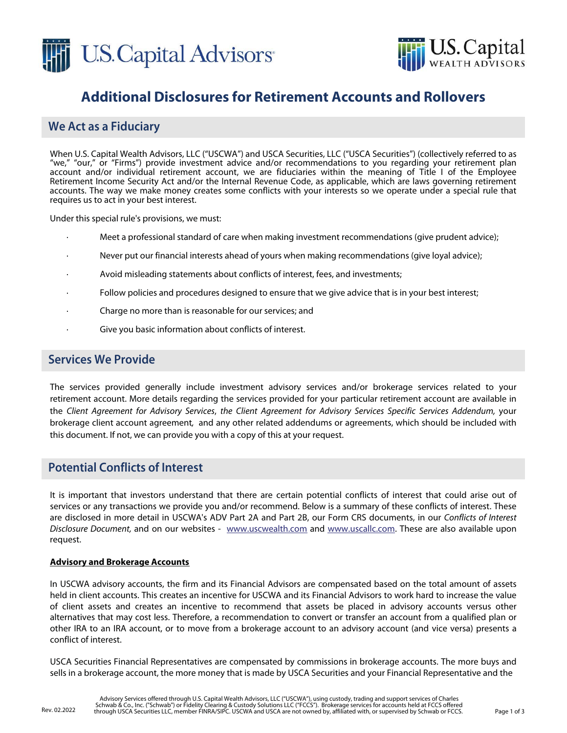



# **Additional Disclosures for Retirement Accounts and Rollovers**

# **We Act as a Fiduciary**

When U.S. Capital Wealth Advisors, LLC ("USCWA") and USCA Securities, LLC ("USCA Securities") (collectively referred to as "we," "our," or "Firms") provide investment advice and/or recommendations to you regarding your retirement plan account and/or individual retirement account, we are fiduciaries within the meaning of Title I of the Employee Retirement Income Security Act and/or the Internal Revenue Code, as applicable, which are laws governing retirement accounts. The way we make money creates some conflicts with your interests so we operate under a special rule that requires us to act in your best interest.

Under this special rule's provisions, we must:

- · Meet a professional standard of care when making investment recommendations (give prudent advice);
- · Never put our financial interests ahead of yours when making recommendations (give loyal advice);
- Avoid misleading statements about conflicts of interest, fees, and investments;
- Follow policies and procedures designed to ensure that we give advice that is in your best interest;
- Charge no more than is reasonable for our services; and
- Give you basic information about conflicts of interest.

## **Services We Provide**

The services provided generally include investment advisory services and/or brokerage services related to your retirement account. More details regarding the services provided for your particular retirement account are available in the Client Agreement for Advisory Services, the Client Agreement for Advisory Services Specific Services Addendum, your brokerage client account agreement, and any other related addendums or agreements, which should be included with this document. If not, we can provide you with a copy of this at your request.

### **Potential Conflicts of Interest**

It is important that investors understand that there are certain potential conflicts of interest that could arise out of services or any transactions we provide you and/or recommend. Below is a summary of these conflicts of interest. These are disclosed in more detail in USCWA's ADV Part 2A and Part 2B, our Form CRS documents, in our Conflicts of Interest Disclosure Document, and on our websites - www.uscwealth.com and www.uscallc.com. These are also available upon request.

#### **Advisory and Brokerage Accounts**

In USCWA advisory accounts, the firm and its Financial Advisors are compensated based on the total amount of assets held in client accounts. This creates an incentive for USCWA and its Financial Advisors to work hard to increase the value of client assets and creates an incentive to recommend that assets be placed in advisory accounts versus other alternatives that may cost less. Therefore, a recommendation to convert or transfer an account from a qualified plan or other IRA to an IRA account, or to move from a brokerage account to an advisory account (and vice versa) presents a conflict of interest.

USCA Securities Financial Representatives are compensated by commissions in brokerage accounts. The more buys and sells in a brokerage account, the more money that is made by USCA Securities and your Financial Representative and the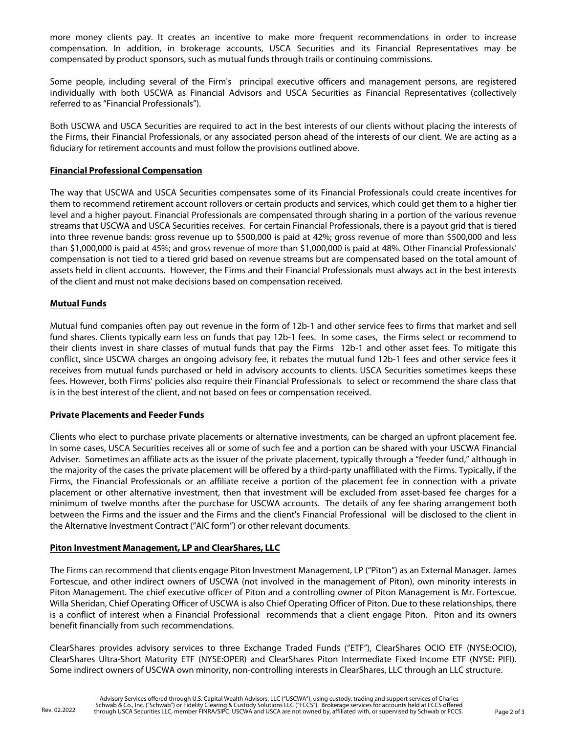more money clients pay. It creates an incentive to make more frequent recommendations in order to increase compensation. In addition, in brokerage accounts, USCA Securities and its Financial Representatives may be compensated by product sponsors, such as mutual funds through trails or continuing commissions.

Some people, including several of the Firm's principal executive officers and management persons, are registered individually with both USCWA as Financial Advisors and USCA Securities as Financial Representatives (collectively referred to as "Financial Professionals").

Both USCWA and USCA Securities are required to act in the best interests of our clients without placing the interests of the Firms, their Financial Professionals, or any associated person ahead of the interests of our client. We are acting as a fiduciary for retirement accounts and must follow the provisions outlined above.

#### **Financial Professional Compensation**

The way that USCWA and USCA Securities compensates some of its Financial Professionals could create incentives for them to recommend retirement account rollovers or certain products and services, which could get them to a higher tier level and a higher payout. Financial Professionals are compensated through sharing in a portion of the various revenue streams that USCWA and USCA Securities receives. For certain Financial Professionals, there is a payout grid that is tiered into three revenue bands: gross revenue up to \$500,000 is paid at 42%; gross revenue of more than \$500,000 and less than \$1,000,000 is paid at 45%; and gross revenue of more than \$1,000,000 is paid at 48%. Other Financial Professionals' compensation is not tied to a tiered grid based on revenue streams but are compensated based on the total amount of assets held in client accounts. However, the Firms and their Financial Professionals must always act in the best interests of the client and must not make decisions based on compensation received.

#### **Mutual Funds**

Mutual fund companies often pay out revenue in the form of 12b-1 and other service fees to firms that market and sell fund shares. Clients typically earn less on funds that pay 12b-1 fees. In some cases, the Firms select or recommend to their clients invest in share classes of mutual funds that pay the Firms 12b-1 and other asset fees. To mitigate this conflict, since USCWA charges an ongoing advisory fee, it rebates the mutual fund 12b-1 fees and other service fees it receives from mutual funds purchased or held in advisory accounts to clients. USCA Securities sometimes keeps these fees. However, both Firms' policies also require their Financial Professionals to select or recommend the share class that is in the best interest of the client, and not based on fees or compensation received.

#### **Private Placements and Feeder Funds**

Clients who elect to purchase private placements or alternative investments, can be charged an upfront placement fee. In some cases, USCA Securities receives all or some of such fee and a portion can be shared with your USCWA Financial Adviser. Sometimes an affiliate acts as the issuer of the private placement, typically through a "feeder fund," although in the majority of the cases the private placement will be offered by a third-party unaffiliated with the Firms. Typically, if the Firms, the Financial Professionals or an affiliate receive a portion of the placement fee in connection with a private placement or other alternative investment, then that investment will be excluded from asset-based fee charges for a minimum of twelve months after the purchase for USCWA accounts. The details of any fee sharing arrangement both between the Firms and the issuer and the Firms and the client's Financial Professional will be disclosed to the client in the Alternative Investment Contract ("AIC form") or other relevant documents.

#### **Piton Investment Management, LP and ClearShares, LLC**

The Firms can recommend that clients engage Piton Investment Management, LP ("Piton") as an External Manager. James Fortescue, and other indirect owners of USCWA (not involved in the management of Piton), own minority interests in Piton Management. The chief executive officer of Piton and a controlling owner of Piton Management is Mr. Fortescue. Willa Sheridan, Chief Operating Officer of USCWA is also Chief Operating Officer of Piton. Due to these relationships, there is a conflict of interest when a Financial Professional recommends that a client engage Piton. Piton and its owners benefit financially from such recommendations.

ClearShares provides advisory services to three Exchange Traded Funds ("ETF"), ClearShares OCIO ETF (NYSE:OCIO), ClearShares Ultra-Short Maturity ETF (NYSE:OPER) and ClearShares Piton Intermediate Fixed Income ETF (NYSE: PIFI). Some indirect owners of USCWA own minority, non-controlling interests in ClearShares, LLC through an LLC structure.